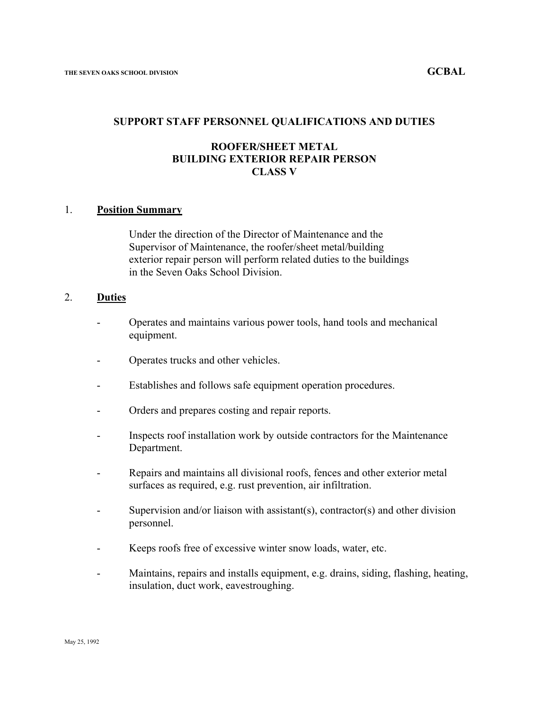#### **SUPPORT STAFF PERSONNEL QUALIFICATIONS AND DUTIES**

# **ROOFER/SHEET METAL BUILDING EXTERIOR REPAIR PERSON CLASS V**

#### 1. **Position Summary**

Under the direction of the Director of Maintenance and the Supervisor of Maintenance, the roofer/sheet metal/building exterior repair person will perform related duties to the buildings in the Seven Oaks School Division.

# 2. **Duties**

- Operates and maintains various power tools, hand tools and mechanical equipment.
- Operates trucks and other vehicles.
- Establishes and follows safe equipment operation procedures.
- Orders and prepares costing and repair reports.
- Inspects roof installation work by outside contractors for the Maintenance Department.
- Repairs and maintains all divisional roofs, fences and other exterior metal surfaces as required, e.g. rust prevention, air infiltration.
- Supervision and/or liaison with assistant(s), contractor(s) and other division personnel.
- Keeps roofs free of excessive winter snow loads, water, etc.
- Maintains, repairs and installs equipment, e.g. drains, siding, flashing, heating, insulation, duct work, eavestroughing.